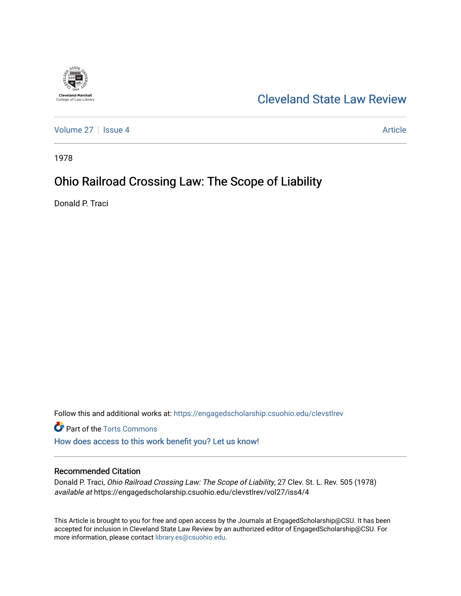

# [Cleveland State Law Review](https://engagedscholarship.csuohio.edu/clevstlrev)

[Volume 27](https://engagedscholarship.csuohio.edu/clevstlrev/vol27) | [Issue 4](https://engagedscholarship.csuohio.edu/clevstlrev/vol27/iss4) Article

1978

# Ohio Railroad Crossing Law: The Scope of Liability

Donald P. Traci

Follow this and additional works at: [https://engagedscholarship.csuohio.edu/clevstlrev](https://engagedscholarship.csuohio.edu/clevstlrev?utm_source=engagedscholarship.csuohio.edu%2Fclevstlrev%2Fvol27%2Fiss4%2F4&utm_medium=PDF&utm_campaign=PDFCoverPages)

Part of the [Torts Commons](http://network.bepress.com/hgg/discipline/913?utm_source=engagedscholarship.csuohio.edu%2Fclevstlrev%2Fvol27%2Fiss4%2F4&utm_medium=PDF&utm_campaign=PDFCoverPages) [How does access to this work benefit you? Let us know!](http://library.csuohio.edu/engaged/)

# Recommended Citation

Donald P. Traci, Ohio Railroad Crossing Law: The Scope of Liability, 27 Clev. St. L. Rev. 505 (1978) available at https://engagedscholarship.csuohio.edu/clevstlrev/vol27/iss4/4

This Article is brought to you for free and open access by the Journals at EngagedScholarship@CSU. It has been accepted for inclusion in Cleveland State Law Review by an authorized editor of EngagedScholarship@CSU. For more information, please contact [library.es@csuohio.edu](mailto:library.es@csuohio.edu).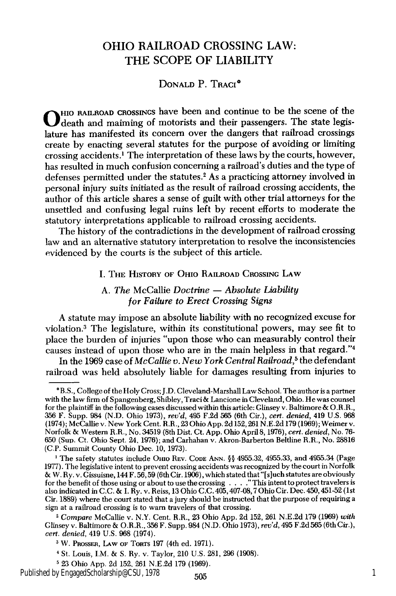# OHIO RAILROAD **CROSSING** LAW: THE **SCOPE** OF LIABILITY

**DONALD** P. TRACI\*

0 HIO **RAILROAD** CROSSINGS have been and continue to be the scene of the death and maiming of motorists and their passengers. The state legislature has manifested its concern over the dangers that railroad crossings create by enacting several statutes for the purpose of avoiding or limiting crossing accidents.' The interpretation of these laws by the courts, however, has resulted in much confusion concerning a railroad's duties and the type of defenses permitted under the statutes.2 As a practicing attorney involved in personal injury suits initiated as the result of railroad crossing accidents, the author of this article shares a sense of guilt with other trial attorneys for the unsettled and confusing legal ruins left by recent efforts to moderate the statutory interpretations applicable to railroad crossing accidents.

The history of the contradictions in the development of railroad crossing law and an alternative statutory interpretation to resolve the inconsistencies evidenced by the courts is the subject of this article.

I. THE **HISTORY** OF OHIO RAILROAD **CROSSING LAW**

## A. *The* McCallie *Doctrine* **-** *Absolute Liability for Failure to Erect Crossing Signs*

A statute may impose an absolute liability with no recognized excuse for violation.<sup>3</sup> The legislature, within its constitutional powers, may see fit to place the burden of injuries "upon those who can measurably control their causes instead of upon those who are in the main helpless in that regard."<sup>4</sup>

In the 1969 case of *McCallie v. New York Central Railroad,5* the defendant railroad was held absolutely liable for damages resulting from injuries to

Published by EngagedScholarship@CSU, 1978 1 1 2005

<sup>\*</sup>B.S., College of the Holy Cross; J.D. Cleveland-Marshall Law School. The author is a partner with the law firm of Spangenberg, Shibley, Traci & Lancione in Cleveland, Ohio. He was counsel for the plaintiff in the following cases discussed within this article: Glinsey v. Baltimore & O.R.R., 356 F. Supp. 984 (N.D. Ohio 1973), *rev'd,* 495 F.2d 565 (6th Cir.), *cert. denied,* 419 U.S. **968** (1974); McCallie v. New York Cent. R.R., 23 Ohio App. 2d 152,261 N.E.2d 179 (1969); Weimer v. Norfolk & Western R.R., No. 34519 (8th Dist. Ct. App. Ohio April 8, 1976), *cert. denied,* No. **76-** 650 (Sun. Ct. Ohio Sept. *24.* 1976); and Carhahan v. Akron-Barberton Beltine R.R., No. 28816 **(C.P.** Summit County Ohio Dec. 10, 1973).

**<sup>&#</sup>x27;** The safety statutes include OHIO REv. **CODE** ANN. **§§** 4955.32, 4955.33, and 4955.34 (Page 1977). The legislative intent to prevent crossing accidents was recognized **by** the court in Norfolk & W. Ry. v. Gissuisne, 144 F. 56, 59 (6th Cir. 1906), which stated that "[s]uch statutes are obviously for the benefit of those using or about to use the crossing **....** This intent to protect travelers is also indicated in C.C. & **I.** Ry. v. Reiss, 13 Ohio C.C. 405,407-08,7 Ohio Cir. Dec. 450,451-52 (1st Cir. 1889) where the court stated that a jury should be instructed that the purpose of requiring a sign at a railroad crossing is to warn travelers of that crossing.

*I Compare* McCallie v. N.Y. Cent. R.R., 23 Ohio App. 2d 152, **261** N.E.2d 179 (1969) *with* Glinsey v. Baltimore & O.R.R., 356 F. Supp. 984 (N.D. Ohio 1973), *rev'd,* 495 F.2d 565 (6th Cir.), *cert. denied,* 419 U.S. 968 (1974).

**<sup>3</sup>** W. PnossER, LAw OF **TORTS 197** (4th ed. 1971).

<sup>4</sup> St. Louis, I.M. & S. Ry. v. Taylor, 210 U.S. 281, 296 (1908).

**<sup>5</sup>** 23 Ohio App. 2d 152, 261 N.E.2d **179** (1969).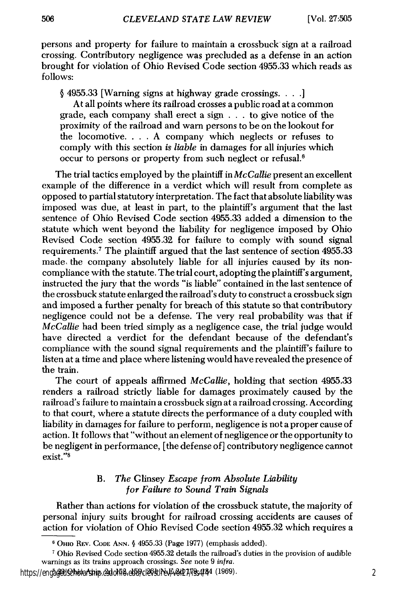persons and property for failure to maintain a crossbuck sign at a railroad crossing. Contributory negligence was precluded as a defense in an action brought for violation of Ohio Revised Code section 4955.33 which reads as follows:

§ 4955.33 [Warning signs at highway grade crossings. **.. .**

At all points where its railroad crosses a public road at a common grade, each company shall erect a sign . . . to give notice of the proximity of the railroad and warn persons to be on the lookout for the locomotive. . **.** . A company which neglects or refuses to comply with this section *is liable* in damages for all injuries which occur to persons or property from such neglect or refusal.6

The trial tactics employed by the plaintiff in *McCallie* present an excellent example of the difference in a verdict which will result from complete as opposed to partial statutory interpretation. The fact that absolute liability was imposed was due, at least in part, to the plaintiff's argument that the last sentence of Ohio Revised Code section 4955.33 added a dimension to the statute which went beyond the liability for negligence imposed by Ohio Revised Code section 4955.32 for failure to comply with sound signal requirements.<sup>7</sup> The plaintiff argued that the last sentence of section 4955.33 made, the company absolutely liable for all injuries caused by its noncompliance with the statute. The trial court, adopting the plaintiff's argument, instructed the jury that the words "is liable" contained in the last sentence of the crossbuck statute enlarged the railroad's duty to construct a crossbuck sign and imposed a further penalty for breach of this statute so that contributory negligence could not be a defense. The very real probability was that if *McCallie* had been tried simply as a negligence case, the trial judge would have directed a verdict for the defendant because of the defendant's compliance with the sound signal requirements and the plaintiff's failure to listen at a time and place where listening would have revealed the presence of the train.

The court of appeals affirmed *McCallie,* holding that section 4955.33 renders a railroad strictly liable for damages proximately caused by the railroad's failure to maintain a crossbuck sign at a railroad crossing. According to that court, where a statute directs the performance of a duty coupled with liability in damages for failure to perform, negligence is not a proper cause of action. It follows that "without an element of negligence or the opportunity to be negligent in performance, [the defense of] contributory negligence cannot exist."<sup>8</sup>

### B. *The* Glinsey *Escape from Absolute Liability for Failure to Sound Train Signals*

Rather than actions for violation of the crossbuck statute, the majority of personal injury suits brought for railroad crossing accidents are causes of action for violation of Ohio Revised Code section 4955.32 which requires a

**<sup>6</sup>**OHIo REV. **CODE** ANN. **§** 4955.33 (Page 1977) (emphasis added).

**<sup>7</sup>**Ohio Revised Code section 4955.32 details the railroad's duties in the provision of audible warnings as its trains approach crossings. *See* note 9 *infra.*

https://engagedischolarship.esdolida.etter.clevstlrev/2027/iss4/44 (1969).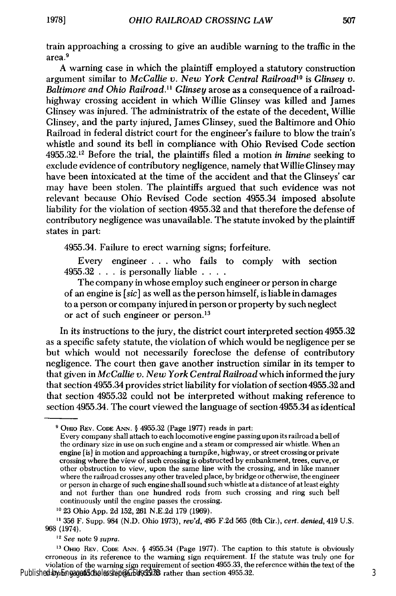train approaching a crossing to give an audible warning to the traffic in the area.9

A warning case in which the plaintiff employed a statutory construction argument similar to *McCallie v. New York Central Railroad'* is *Glinsey v. Baltimore and Ohio Railroad." Glinsey* arose as a consequence of a railroadhighway crossing accident in which Willie Glinsey was killed and James Glinsey was injured. The administratrix of the estate of the decedent, Willie Glinsey, and the party injured, James Glinsey, sued the Baltimore and Ohio Railroad in federal district court for the engineer's failure to blow the train's whistle and sound its bell in compliance with Ohio Revised Code section 4955.32.12 Before the trial, the plaintiffs filed a motion *in limine* seeking to exclude evidence of contributory negligence, namely that Willie Glinsey may have been intoxicated at the time of the accident and that the Glinseys' car may have been stolen. The plaintiffs argued that such evidence was not relevant because Ohio Revised Code section 4955.34 imposed absolute liability for the violation of section 4955.32 and that therefore the defense of contributory negligence was unavailable. The statute invoked by the plaintiff states in part:

4955.34. Failure to erect warning signs; forfeiture.

Every engineer **. . .** who fails to comply with section 4955.32 . . . is personally liable **....**

The company in whose employ such engineer or person in charge of an engine is *[sic]* as well as the person himself, is liable in damages to a person or company injured in person or property by such neglect or act of such engineer or person.<sup>13</sup>

In its instructions to the jury, the district court interpreted section 4955.32 as a specific safety statute, the violation of which would be negligence per se but which would not necessarily foreclose the defense of contributory negligence. The court then gave another instruction similar in its temper to that given in *McCallie v. New York Central Railroad* which informed the jury that section 4955.34 provides strict liability for violation of section 4955.32 and that section 4955.32 could not be interpreted without making reference to section 4955.34. The court viewed the language of section 4955.34 as identical

**'3 OHIO** REV. **CODE** ANN. § 4955.34 (Page 1977). The caption to this statute is obviously erroneous in its reference to the warning sign requirement. If the statute was truly one for violation of the warning sign requirement of section 4955.33, the reference within the text of the Published by EngagedScholarship@CSU93.78 rather than section 4955.32.

**<sup>9</sup>** OHIO **REV. CODE ANN. §** 4955.32 (Page 1977) reads in part:

Every company shall attach to each locomotive engine passing upon its railroad a bell of the ordinary size in use on such engine and a steam or compressed air whistle. When an engine [is] in motion and approaching a turnpike, highway, or street crossing or private crossing where the view of such crossing is obstructed by embankment, trees, curve, or other obstruction to view, upon the same line with the crossing, and in like manner where the railroad crosses any other traveled place, by bridge or otherwise, the engineer or person in charge of such engine shall sound such whistle at a distance of at least eighty and not further than one hundred rods from such crossing and ring such bell continuously until the engine passes the crossing.

**<sup>10</sup>** 23 Ohio App. 2d 152, 261 N.E.2d 179 (1969).

**<sup>&</sup>quot; 356** F. Supp. 984 (N.D. Ohio 1973), *rev'd,* 495 F.2d 565 (6th Cir.), *cert. denied,* 419 U.S. 968 (1974).

<sup>12</sup> See note 9 *supra.*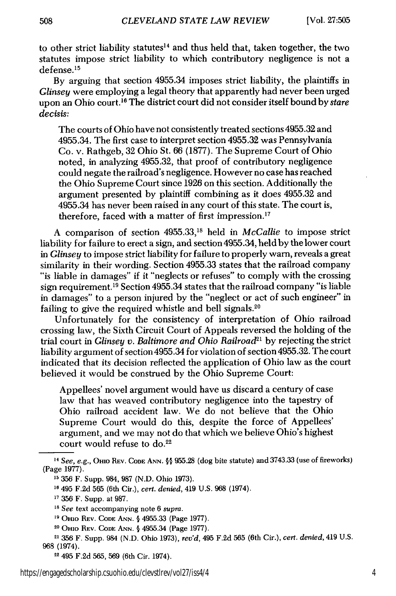to other strict liability statutes<sup>14</sup> and thus held that, taken together, the two statutes impose strict liability to which contributory negligence is not a defense. <sup>15</sup>

By arguing that section 4955.34 imposes strict liability, the plaintiffs in *Glinsey* were employing a legal theory that apparently had never been urged upon an Ohio court.<sup>16</sup> The district court did not consider itself bound by *stare decisis:*

The courts of Ohio have not consistently treated sections 4955.32 and 4955.34. The first case to interpret section 4955.32 was Pennsylvania Co. v. Rathgeb, 32 Ohio St. 66 (1877). The Supreme Court of Ohio noted, in analyzing 4955.32, that proof of contributory negligence could negate the railroad's negligence. However no case has reached the Ohio Supreme Court since 1926 on this section. Additionally the argument presented by plaintiff combining as it does 4955.32 and 4955.34 has never been raised in any court of this state. The court is, therefore, faced with a matter of first impression.<sup>17</sup>

A comparison of section 4955.33,18 held in *McCallie* to impose strict liability for failure to erect a sign, and section 4955.34, held by the lower court in *Glinsey* to impose strict liability for failure to properly warn, reveals a great similarity in their wording. Section 4955.33 states that the railroad company "is liable in damages" if it "neglects or refuses" to comply with the crossing sign requirement.<sup>19</sup> Section 4955.34 states that the railroad company "is liable in damages" to a person injured by the "neglect or act of such engineer" in failing to give the required whistle and bell signals.<sup>20</sup>

Unfortunately for the consistency of interpretation of Ohio railroad crossing law, the Sixth Circuit Court of Appeals reversed the holding of the trial court in *Glinsey v. Baltimore and Ohio Railroad2* by rejecting the strict liability argument of section 4955.34 for violation of section 4955.32. The court indicated that its decision reflected the application of Ohio law as the court believed it would be construed by the Ohio Supreme Court:

Appellees' novel argument would have us discard a century of case law that has weaved contributory negligence into the tapestry of Ohio railroad accident law. We do not believe that the Ohio Supreme Court would do this, despite the force of Appellees' argument, and we may not do that which we believe Ohio's highest court would refuse to do.<sup>22</sup>

508

*<sup>14</sup> See, e.g.,* **OHIo** REV. CODE ANN. **§§** 955.28 (dog bite statute) and 3743.33 (use of fireworks) (Page 1977).

**<sup>15</sup>** 356 F. Supp. 984, 987 (N.D. Ohio 1973).

**<sup>16</sup>** 495 F.2d 565 (6th Cir.), *cert. denied,* 419 U.S. 968 (1974).

**<sup>17</sup>**356 F. Supp. at 987.

**<sup>18</sup>** *See* text accompanying note 6 *supra.*

**<sup>&</sup>quot;** Onio REV. **CODE ANN. §** 4955.33 (Page 1977).

**<sup>20</sup> OHIo REV. CODE ANN.** § 4955.34 (Page 1977).

<sup>21 356</sup> F. Supp. 984 (N.D. Ohio 1973), *rev'd,* 495 F.2d 565 (6th Cir.), *cert. denied,* 419 U.S. 968 (1974).

<sup>22 495</sup> F.2d 565, 569 (6th Cir. 1974).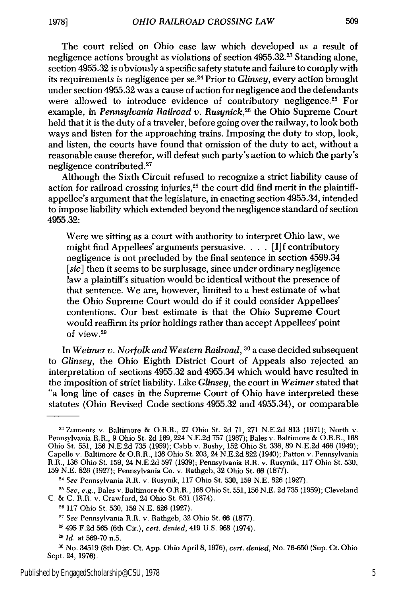The court relied on Ohio case law which developed as a result of negligence actions brought as violations of section 4955.32.23 Standing alone, section 4955.32 is obviously a specific safety statute and failure to comply with its requirements is negligence per se. 24 Prior to *Glinsey,* every action brought under section 4955.32 was a cause of action for negligence and the defendants were allowed to introduce evidence of contributory negligence.<sup>25</sup> For example, in *Pennsylvania Railroad v. Rusynick, <sup>26</sup>*the Ohio Supreme Court held that it is the duty of a traveler, before going over the railway, to look both ways and listen for the approaching trains. Imposing the duty to stop, look, and listen, the courts have found that omission of the duty to act, without a

reasonable cause therefor, will defeat such party's action to which the party's negligence contributed. <sup>27</sup>

Although the Sixth Circuit refused to recognize a strict liability cause of action for railroad crossing injuries, 28 the court did find merit in the plaintiffappellee's argument that the legislature, in enacting section 4955.34, intended to impose liability which extended beyond the negligence standard of section 4955.32:

Were we sitting as a court with authority to interpret Ohio law, we might find Appellees' arguments persuasive. . . . [I]f contributory negligence is not precluded by the final sentence in section 4599.34 *[sic]* then it seems to be surplusage, since under ordinary negligence law a plaintiff's situation would be identical without the presence of that sentence. We are, however, limited to a best estimate of what the Ohio Supreme Court would do if it could consider Appellees' contentions. Our best estimate is that the Ohio Supreme Court would reaffirm its prior holdings rather than accept Appellees' point of view. <sup>29</sup>

In *Weimer v. Norfolk and Western Railroad,* **30** a case decided subsequent to *Glinsey,* the Ohio Eighth District Court of Appeals also rejected an interpretation of sections 4955.32 and 4955.34 which would have resulted in the imposition of strict liability. Like *Glinsey,* the court in *Weimer* stated that "a long line of cases in the Supreme Court of Ohio have interpreted these statutes (Ohio Revised Code sections 4955.32 and 4955.34), or comparable

<sup>24</sup>*See* Pennsylvania HR. v. Rusynik, 117 Ohio St. 530, 159 N.E. 826 (1927).

<sup>23</sup>Zuments v. Baltimore & O.R.R., 27 Ohio St. 2d 71, 271 N.E.2d 813 (1971); North v. Pennsylvania R.R., 9 Ohio St. 2d 169, 224 N.E.2d 757 (1967); Bales v. Baltimore & O.R.R., 168 Ohio St. 551, 156 N.E.2d 735 (1959); Cabb v. Bushy, 152 Ohio St. 336, 89 N.E.2d 466 (1949); Capelle v. Baltimore & O.R.R., 136 Ohio St. 203, 24 N.E.2d 822 (1940); Patton v. Pennsylvania R.R., 136 Ohio St. 159, 24 N.E.2d 597 (1939); Pennsylvania R.R. v. Rusynik, 117 Ohio St. 530, 159 N.E. 826 (1927); Pennsylvania Co. v. Rathgeb, 32 Ohio St. 66 (1877).

<sup>25</sup>*See, e.g.,* Bales v. Baltimore & O.R.R., 168 Ohio St. 551, 156 N.E. 2d 735 (1959); Cleveland C. & C. R.H. v. Crawford, 24 Ohio St. 631 (1874).

<sup>26</sup>117 Ohio St. 530, 159 N.E. 826 (1927).

<sup>&</sup>lt;sup>27</sup> See Pennsylvania R.R. v. Rathgeb, 32 Ohio St. 66 (1877).

**<sup>28</sup>** 495 F.2d 565 (6th Cir.), *cert. denied,* 419 U.S. 968 (1974).

<sup>29</sup>*Id.* at 569-70 n.5.

**<sup>3&#</sup>x27;** No. 34519 (8th Dist. Ct. App. Ohio April 8, 1976), *cert. denied,* No. 76-650 (Sup. Ct. Ohio Sept. 24, 1976).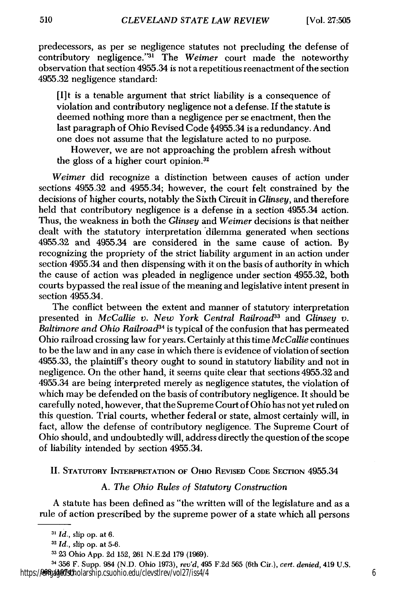predecessors, as per se negligence statutes not precluding the defense of contributory negligence."<sup>31</sup> The Weimer court made the noteworthy observation that section 4955.34 is not a repetitious reenactment of the section 4955.32 negligence standard:

[I] t is a tenable argument that strict liability is a consequence of violation and contributory negligence not a defense. If the statute is deemed nothing more than a negligence per se enactment, then the last paragraph of Ohio Revised Code §4955.34 is a redundancy. And one does not assume that the legislature acted to no purpose.

However, we are not approaching the problem afresh without the gloss of a higher court opinion.<sup>32</sup>

*Weimer* did recognize a distinction between causes of action under sections 4955.32 and 4955.34; however, the court felt constrained by the decisions of higher courts, notably the Sixth Circuit in *Glinsey,* and therefore held that contributory negligence is a defense in a section 4955.34 action. Thus, the weakness in both the *Glinsey* and *Weimer* decisions is that neither dealt with the statutory interpretation dilemma generated when sections 4955.32 and 4955.34 are considered in the same cause of action. By recognizing the propriety of the strict liability argument in an action under section 4955.34 and then dispensing with it on the basis of authority in which the cause of action was pleaded in negligence under section 4955.32, both courts bypassed the real issue of the meaning and legislative intent present in section 4955.34.

The conflict between the extent and manner of statutory interpretation presented in *McCallie v. New York Central Railroad33* and *Glinsey v. Baltimore and Ohio Railroad*<sup>34</sup> is typical of the confusion that has permeated Ohio railroad crossing law for years. Certainly at this time *McCallie* continues to be the law and in any case in which there is evidence of violation of section 4955.33, the plaintiff's theory ought to sound in statutory liability and not in negligence. On the other hand, it seems quite clear that sections 4955.32 and 4955.34 are being interpreted merely as negligence statutes, the violation of which may be defended on the basis of contributory negligence. It should be carefully noted, however, that the Supreme Court of Ohio has not yet ruled on this question. Trial courts, whether federal or state, almost certainly will, in fact, allow the defense of contributory negligence. The Supreme Court of Ohio should, and undoubtedly will, address directly the question of the scope of liability intended by section 4955.34.

#### II. **STATUTORY INTERPRETATION OF** OHIO **REVISED CODE** SECTION 4955.34

#### **A.** *The Ohio Rules of Statutory Construction*

**A** statute has been defined as "the written will of the legislature and as a rule of action prescribed **by** the supreme power of a state which all persons

**<sup>31</sup>***Id.,* slip op. at **6.**

**<sup>32</sup>***Id.,* slip op. at **5-6.**

**<sup>33 23</sup>** Ohio **App. 2d 152, 261 N.E.2d 179 (1969).**

<sup>34</sup>**356** F. Supp. 984 **(N.D.** Ohio **1973),** *rev'd,* 495 **F.2d 565** (6th Cir.), *cert. denied,* 419 **U.S. 968 (1974).** https://engagedscholarship.csuohio.edu/clevstlrev/vol27/iss4/4 6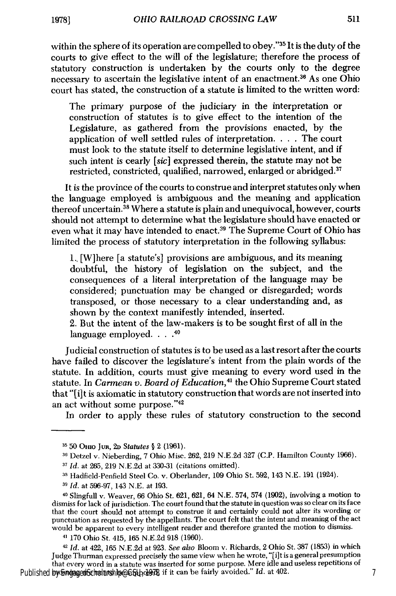within the sphere of its operation are compelled to obey."35 It is the duty of the courts to give effect to the will of the legislature; therefore the process of statutory construction is undertaken by the courts only to the degree necessary to ascertain the legislative intent of an enactment.36 As one Ohio court has stated, the construction of a statute is limited to the written word:

The primary purpose of the judiciary in the interpretation or construction of statutes is to give effect to the intention of the Legislature, as gathered from the provisions enacted, by the application of well settled rules of interpretation. . **.** . The court must look to the statute itself to determine legislative intent, and if such intent is cearly [sic] expressed therein, the statute may not be restricted, constricted, qualified, narrowed, enlarged or abridged.<sup>37</sup>

It is the province of the courts to construe and interpret statutes only when the language employed is ambiguous and the meaning and application thereof uncertain.38 Where a statute is plain and unequivocal, however, courts should not attempt to determine what the legislature should have enacted or even what it may have intended to enact.<sup>39</sup> The Supreme Court of Ohio has limited the process of statutory interpretation in the following syllabus:

**1.,** [W]here [a statute's] provisions are ambiguous, and its meaning doubtful, the history of legislation on the subject, and the consequences of a literal interpretation of the language may be considered; punctuation may be changed or disregarded; words transposed, or those necessary to a clear understanding and, as shown by the context manifestly intended, inserted.

2. But the intent of the law-makers is to be sought first of all in the language employed **....** *40*

Judicial construction of statutes is to be used as a last resort after the courts have failed to discover the legislature's intent from the plain words of the statute. In addition, courts must give meaning to every word used in the statute. In *Carmean v. Board of Education,41* the Ohio Supreme Court stated that "[i]t is axiomatic in statutory construction that words are not inserted into an act without some purpose."<sup>42</sup>

In order to apply these rules of statutory construction to the second

*42 Id.* at 422, 165 N.E.2d at 923. *See also* Bloom v. Richards, 2 Ohio St. 387 (1853) in which Judge Thurman expressed precisely the same view when he wrote, "[i]t is a general presumption that every word in a statute was inserted for some purpose. Mere idle and useless repetitions of Published by EngagedScholarship@CSU<sub>Q</sub>d@R if it can be fairly avoided." *Id.* at 402.

**<sup>15 50</sup>** OHio JuR, **2D** *Statutes §* 2 (1961).

<sup>&</sup>lt;sup>36</sup> Detzel v. Nieberding, 7 Ohio Misc. 262, 219 N.E.2d 327 (C.P. Hamilton County 1966).

*<sup>17</sup> Id.* at 265, 219 N.E.2d at 330-31 (citations omitted).

**<sup>,8</sup>** Hadfield-Penfield Steel Co. v. Oberlander, 109 Ohio St. 592, 143 N.E. 191 (1924).

**<sup>39</sup>***Id.* at 596-97, 143 N.E. at 193.

**<sup>40</sup>**Slingfull v. Weaver, 66 Ohio St. 621, 621, 64 N.E. 574, 574 (1902), involving a motion to dismiss for lack of jurisdiction. The court found that the statute in question was so clear on its face that the court should not attempt to construe it and certainly could not alter its wording or punctuation as requested by the appellants. The court felt that the intent and meaning of the act would be apparent to every intelligent reader and therefore granted the motion to dismiss.

*<sup>41</sup>* 170 Ohio St. 415, 165 N.E.2d 918 (1960).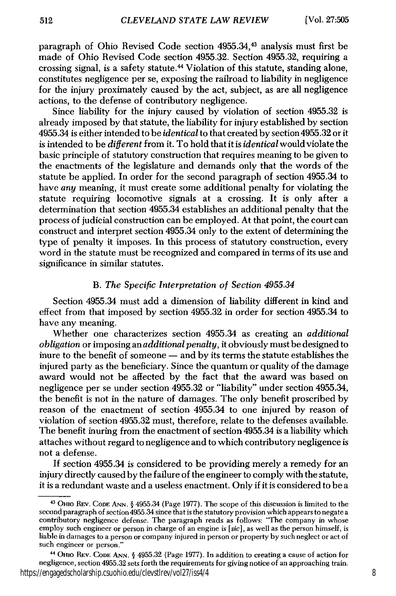paragraph of Ohio Revised Code section 4955.34,43 analysis must first be made of Ohio Revised Code section 4955.32. Section 4955.32, requiring a crossing signal, is a safety statute. 44 Violation of this statute, standing alone, constitutes negligence per se, exposing the railroad to liability in negligence for the injury proximately caused by the act, subject, as are all negligence actions, to the defense of contributory negligence.

Since liability for the injury caused by violation of section 4955.32 is already imposed by that statute, the liability for injury established by section 4955.34 is either intended to be *identical* to that created by section 4955.32 or it is intended to be *different* from it. To hold that it is *identical* would violate the basic principle of statutory construction that requires meaning to be given to the enactments of the legislature and demands only that the words of the statute be applied. In order for the second paragraph of section 4955.34 to have *any* meaning, it must create some additional penalty for violating the statute requiring locomotive signals at a crossing. It is only after a determination that section 4955.34 establishes an additional penalty that the process of judicial construction can be employed. At that point, the court can construct and interpret section 4955.34 only to the extent of determining the type of penalty it imposes. In this process of statutory construction, every word in the statute must be recognized and compared in terms of its use and significance in similar statutes.

#### B. *The Specific Interpretation of Section 4955.34*

Section 4955.34 must add a dimension of liability different in kind and effect from that imposed by section 4955.32 in order for section 4955.34 to have any meaning.

Whether one characterizes section 4955.34 as creating an *additional obligation* or imposing an *additional penalty,* it obviously must be designed to inure to the benefit of someone  $-$  and by its terms the statute establishes the injured party as the beneficiary. Since the quantum or quality of the damage award would not be affected by the fact that the award was based on negligence per se under section 4955.32 or "liability" under section 4955.34, the benefit is not in the nature of damages. The only benefit proscribed by reason of the enactment of section 4955.34 to one injured by reason of violation of section 4955.32 must, therefore, relate to the defenses available. The benefit inuring from the enactment of section 4955.34 is a liability which attaches without regard to negligence and to which contributory negligence is not a defense.

If section 4955.34 is considered to be providing merely a remedy for an injury directly caused by the failure of the engineer to comply with the statute, it is a redundant waste and a useless enactment. Only if it is considered to be a

<sup>43</sup> OHIo REV. **CODE** ANN. **§** 4955.34 (Page 1977). The scope of this discussion is limited to the second paragraph of section4955.34 since that is the statutory provision which appears to negate a contributory negligence defense. The paragraph reads as follows: "The company in whose employ such engineer or person in charge of an engine is [sic], as well as the person himself, is liable in damages to a person or company injured in person or property by such neglect or act of such engineer or person."

**<sup>&</sup>quot;** OHIo REV. **CODE ANN.** § 4955.32 (Page 1977). In addition to creating a cause of action for negligence, section 4955.32 sets forth the requirements for giving notice of an approaching train. https://engagedscholarship.csuohio.edu/clevstlrev/vol27/iss4/4 8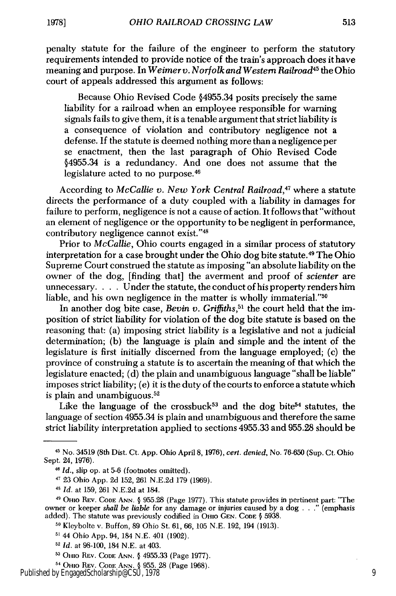penalty statute for the failure of the engineer to perform the statutory requirements intended to provide notice of the train's approach does it have meaning and purpose. In *Weimer v. Norfolk and Western Railroad45* the Ohio court of appeals addressed this argument as follows:

Because Ohio Revised Code §4955.34 posits precisely the same liability for a railroad when an employee responsible for warning signals fails to give them, it is a tenable argument that strict liability is a consequence of violation and contributory negligence not a defense. If the statute is deemed nothing more than a negligence per se enactment, then the last paragraph of Ohio Revised Code §4955.34 is a redundancy. And one does not assume that the legislature acted to no purpose.<sup>46</sup>

According to *McCallie v. New York Central Railroad,47* where a statute directs the performance of a duty coupled with a liability in damages for failure to perform, negligence is not a cause of action. It follows that "without an element of negligence or the opportunity to be negligent in performance, contributory negligence cannot exist."<sup>48</sup>

Prior to *McCallie,* Ohio courts engaged in a similar process of statutory interpretation for a case brought under the Ohio dog bite statute.<sup>49</sup> The Ohio Supreme Court construed the statute as imposing "an absolute liability on the owner of the dog, [finding that] the averment and proof of *scienter* are unnecessary. . **.** . Under the statute, the conduct of his property renders him liable, and his own negligence in the matter is wholly immaterial."<sup>50</sup>

In another dog bite case, *Bevin v. Griffiths*,<sup>51</sup> the court held that the imposition of strict liability for violation of the dog bite statute is based on the reasoning that: (a) imposing strict liability is a legislative and not a judicial determination; (b) the language is plain and simple and the intent of the legislature is first initially discerned from the language employed; (c) the province of construing a statute is to ascertain the meaning of that which the legislature enacted; (d) the plain and unambiguous language "shall be liable" imposes strict liability; (e) it is the duty of the courts to enforce a statute which is plain and unambiguous. <sup>52</sup>

Like the language of the crossbuck<sup>53</sup> and the dog bite<sup>54</sup> statutes, the language of section 4955.34 is plain and unambiguous and therefore the same strict liability interpretation applied to sections 4955.33 and 955.28 should be

<sup>45</sup> No. 34519 (8th Dist. Ct. App. Ohio April 8, 1976), *cert. denied,* No. 76-650 (Sup. Ct. Ohio Sept. 24, 1976).

**<sup>46</sup>***Id.,* slip op. at 5-6 (footnotes omitted).

**<sup>17</sup>**23 Ohio App. 2d 152, 261 N.E.2d 179 (1969).

**<sup>48</sup>***Id.* at 159, 261 N.E.2d at 184.

<sup>49</sup>**OHo** REV. **CODE ANN.** § 955.28 (Page 1977). This statute provides in pertinent part: "The owner or keeper *shall be liable* for any damage or injuries caused by a dog . (emphasis added). The statute was previously codified in **OHIO GEN. CODE §** 5938.

**<sup>10</sup>** Kleybolte v. Buffon, 89 Ohio St. 61, 66, 105 N.E. 192, 194 (1913).

**<sup>,&</sup>quot;** 44 Ohio App. 94, 184 N.E. 401 (1902).

<sup>52</sup>*Id.* at 98-100, 184 N.E. at 403.

**OHIO** REV. **CODE ANN. §** 4955.33 (Page 1977).

<sup>4</sup> OHIO REV. **CODE ANN. §** 955. 28 (Page 1968).

Published by EngagedScholarship@CSU, 1978 9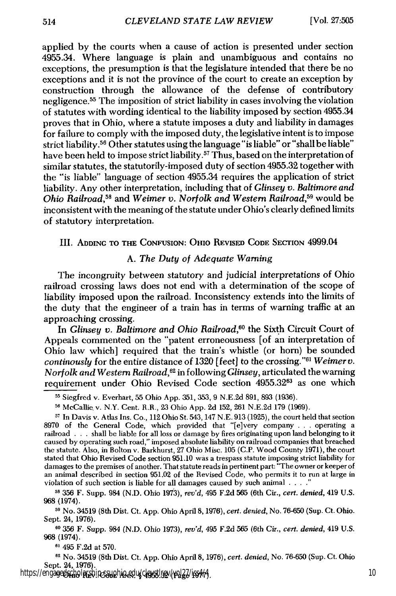applied by the courts when a cause of action is presented under section 4955.34. Where language is plain and unambiguous and contains no exceptions, the presumption is that the legislature intended that there be no exceptions and it is not the province of the court to create an exception by construction through the allowance of the defense of contributory negligence. 55 The imposition of strict liability in cases involving the violation of statutes with wording identical to the liability imposed by section 4955.34 proves that in Ohio, where a statute imposes a duty and liability in damages for failure to comply with the imposed duty, the legislative intent is to impose strict liability.<sup>56</sup> Other statutes using the language "is liable" or "shall be liable" have been held to impose strict liability.<sup>57</sup> Thus, based on the interpretation of similar statutes, the statutorily-imposed duty of section 4955.32 together with the "is liable" language of section 4955.34 requires the application of strict liability. Any other interpretation, including that of *Glinsey v. Baltimore and Ohio Railroad,58* and *Weimer v. Norfolk and Western Railroad,9* would be inconsistent with the meaning of the statute under Ohio's clearly defined limits of statutory interpretation.

III. **ADDING** TO **THE CONFUSION: OHIO REVISED CODE SECTION** 4999.04

#### **A.** *The Duty of Adequate Warning*

The incongruity between statutory and judicial interpretations of Ohio railroad crossing laws does not end with a determination of the scope of liability imposed upon the railroad. Inconsistency extends into the limits of the duty that the engineer of a train has in terms of warning traffic at an approaching crossing.

In *Glinsey v. Baltimore and Ohio Railroad,60* the Sixth Circuit Court of Appeals commented on the "patent erroneousness **[of** an interpretation of Ohio law which] required that the train's whistle (or horn) be sounded *continously* for the entire distance of 1320 [feet] to the crossing."<sup>61</sup> Weimer v. *Norfolk and Western Railroad,62* in following *Glinsey,* articulated the warning requirement under Ohio Revised Code section 4955.32<sup>63</sup> as one which

**<sup>58</sup>**356 F. Supp. 984 (N.D. Ohio 1973), *rev'd,* 495 F.2d 565 (6th Cir., *cert. denied,* 419 U.S. 968 (1974).

**<sup>59</sup>**No. 34519 (8th Dist. Ct. App. Ohio April 8, 1976), *cert. denied,* No. 76-650 (Sup. Ct. Ohio. Sept. 24, 1976).

**"0** 356 F. Supp. 984 (N.D. Ohio 1973), *rev'd,* 495 F.2d 565 (6th Cir., *cert. denied,* 419 U.S. 968 (1974).

**61** 495 F.2d at 570.

**62** No. 34519 (8th Dist. Ct. App. Ohio April 8, 1976), *cert. denied,* No. 76-650 (Sup. Ct. Ohio Sept. 24, 1976). **<sup>6</sup>**Onio REV. CODE ANN. **§** 4955.32 (Page 1977). https://engagedscholarship.csuohio.edu/clevstlrev/vol27/iss4/4 10

**<sup>5</sup>** Siegfred v. Everhart, 55 Ohio App. 351, 353, 9 N.E.2d 891, 893 (1936).

**<sup>56</sup>**McCallie. v. N.Y. Cent. R.R., 23 Ohio App. 2d 152, 261 N.E.2d 179 (1969).

**<sup>-7</sup>** In Davis v. Atlas Ins. Co., 112 Ohio St. 543, 147 N.E. 913 (1925), the court held that section 8970 of the General Code, which provided that "[e]very company **...** operating a railroad . . . shall **be** liable for all loss or damage by fires originating upon land belonging to it caused by operating such road," imposed absolute liability on railroad companies that breached the statute. Also, in Bolton v. Barkhurst, 27 Ohio Misc. 105 (C.P. Wood County 1971), the court stated that Ohio Revised Code section 951.10 was a trespass statute imposing strict liability for damages to the premises of another. That statute reads in pertinent part: "The owner or keeper of an animal described in section 951.02 of the Revised Code, who permits it to run at large in violation of such section is liable for all damages caused by such animal **.... "**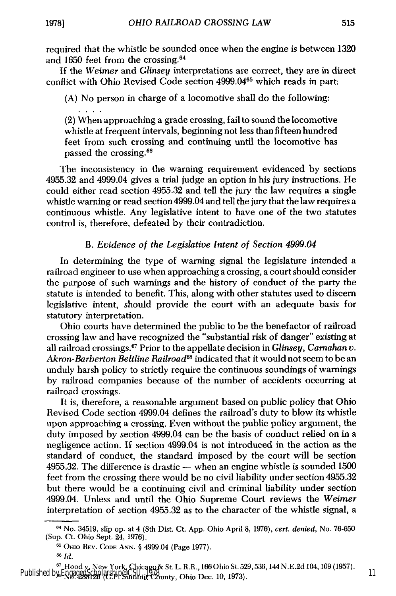515

required that the whistle be sounded once when the engine is between 1320 and 1650 feet from the crossing. <sup>64</sup>

If the *Weimer* and *Glinsey* interpretations are correct, they are in direct conflict with Ohio Revised Code section 4999.04<sup>65</sup> which reads in part:

(A) No person in charge of a locomotive shall do the following:

(2) When approaching a grade crossing, fail to sound the locomotive whistle at frequent intervals, beginning not less than fifteen hundred feet from such crossing and continuing until the locomotive has passed the crossing. <sup>66</sup>

The inconsistency in the warning requirement evidenced by sections 4955.32 and 4999.04 gives a trial judge an option in his jury instructions. He could either read section 4955.32 and tell the jury the law requires a single whistle warning or read section 4999.04 and tell the jury that the law requires a continuous whistle. Any legislative intent to have one of the two statutes control is, therefore, defeated by their contradiction.

## *B. Evidence of the Legislative Intent of Section 4999.04*

In determining the type of warning signal the legislature intended a railroad engineer to use when approaching a crossing, a court should consider the purpose of such warnings and the history of conduct of the party the statute is intended to benefit. This, along with other statutes used to discern legislative intent, should provide the court with an adequate basis for statutory interpretation.

Ohio courts have determined the public to be the benefactor of railroad crossing law and have recognized the "substantial risk of danger" existing at all railroad crossings.<sup>67</sup> Prior to the appellate decision in *Glinsey*, *Carnahan v*. *Akron-Barberton Beltline Railroad6* indicated that it would not seem to be an unduly harsh policy to strictly require the continuous soundings of warnings by railroad companies because of the number of accidents occurring at railroad crossings.

It is, therefore, a reasonable argument based on public policy that Ohio Revised Code section 4999.04 defines the railroad's duty to blow its whistle upon approaching a crossing. Even without the public policy argument, the duty imposed by section 4999.04 can be the basis of conduct relied on in a negligence action. If section 4999.04 is not introduced in the action as the standard of conduct, the standard imposed by the court will be section  $4955.32$ . The difference is drastic  $-$  when an engine whistle is sounded 1500 feet from the crossing there would be no civil liability under section 4955.32 but there would be a continuing civil and criminal liability under section 4999.04. Unless and until the Ohio Supreme Court reviews the *Weimer* interpretation of section 4955.32 as to the character of the whistle signal, a

<sup>64</sup>No. 34519, slip op. at 4 (8th Dist. Ct. App. Ohio April 8, 1976), cert. denied, No. 76-650 (Sup. Ct. Ohio Sept. 24, 1976).

**<sup>65</sup>**OHio REv. **CODE** ANN. **§** 4999.04 (Page 1977).

**<sup>66</sup>** *Id.*

**<sup>67</sup>**Hood v. New York, Chicago& St. L. R.R., 166 Ohio St. 529,536,144 N.E.2d 104,109 (1957). **68** No. 288126 (C.P. Summit County, Ohio Dec. 10, 1973). Published by EngagedScholarship@CSU, 1978 11